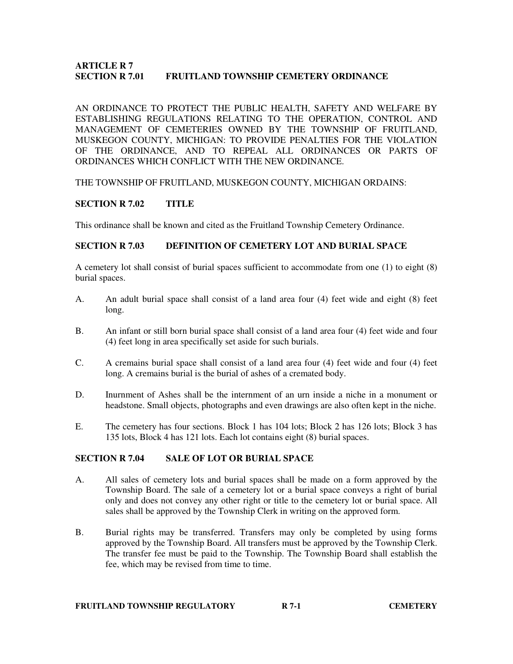### **ARTICLE R 7 SECTION R 7.01 FRUITLAND TOWNSHIP CEMETERY ORDINANCE**

AN ORDINANCE TO PROTECT THE PUBLIC HEALTH, SAFETY AND WELFARE BY ESTABLISHING REGULATIONS RELATING TO THE OPERATION, CONTROL AND MANAGEMENT OF CEMETERIES OWNED BY THE TOWNSHIP OF FRUITLAND, MUSKEGON COUNTY, MICHIGAN: TO PROVIDE PENALTIES FOR THE VIOLATION OF THE ORDINANCE, AND TO REPEAL ALL ORDINANCES OR PARTS OF ORDINANCES WHICH CONFLICT WITH THE NEW ORDINANCE.

#### THE TOWNSHIP OF FRUITLAND, MUSKEGON COUNTY, MICHIGAN ORDAINS:

### **SECTION R 7.02 TITLE**

This ordinance shall be known and cited as the Fruitland Township Cemetery Ordinance.

### **SECTION R 7.03 DEFINITION OF CEMETERY LOT AND BURIAL SPACE**

A cemetery lot shall consist of burial spaces sufficient to accommodate from one (1) to eight (8) burial spaces.

- A. An adult burial space shall consist of a land area four (4) feet wide and eight (8) feet long.
- B. An infant or still born burial space shall consist of a land area four (4) feet wide and four (4) feet long in area specifically set aside for such burials.
- C. A cremains burial space shall consist of a land area four (4) feet wide and four (4) feet long. A cremains burial is the burial of ashes of a cremated body.
- D. Inurnment of Ashes shall be the internment of an urn inside a niche in a monument or headstone. Small objects, photographs and even drawings are also often kept in the niche.
- E. The cemetery has four sections. Block 1 has 104 lots; Block 2 has 126 lots; Block 3 has 135 lots, Block 4 has 121 lots. Each lot contains eight (8) burial spaces.

### **SECTION R 7.04 SALE OF LOT OR BURIAL SPACE**

- A. All sales of cemetery lots and burial spaces shall be made on a form approved by the Township Board. The sale of a cemetery lot or a burial space conveys a right of burial only and does not convey any other right or title to the cemetery lot or burial space. All sales shall be approved by the Township Clerk in writing on the approved form.
- B. Burial rights may be transferred. Transfers may only be completed by using forms approved by the Township Board. All transfers must be approved by the Township Clerk. The transfer fee must be paid to the Township. The Township Board shall establish the fee, which may be revised from time to time.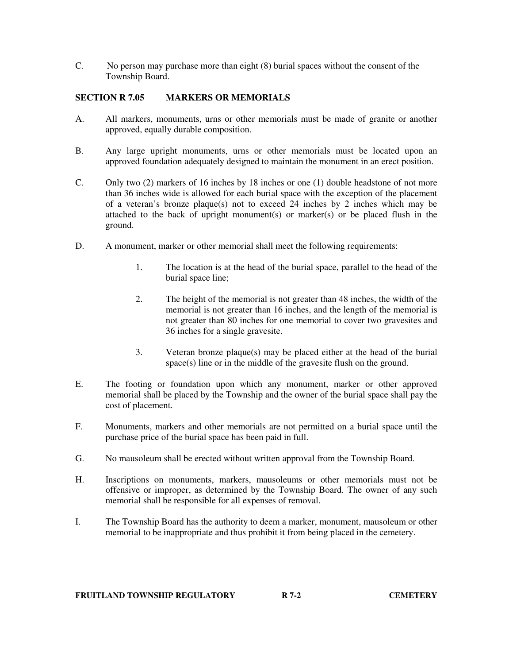C. No person may purchase more than eight (8) burial spaces without the consent of the Township Board.

### **SECTION R 7.05 MARKERS OR MEMORIALS**

- A. All markers, monuments, urns or other memorials must be made of granite or another approved, equally durable composition.
- B. Any large upright monuments, urns or other memorials must be located upon an approved foundation adequately designed to maintain the monument in an erect position.
- C. Only two (2) markers of 16 inches by 18 inches or one (1) double headstone of not more than 36 inches wide is allowed for each burial space with the exception of the placement of a veteran's bronze plaque(s) not to exceed 24 inches by 2 inches which may be attached to the back of upright monument(s) or marker(s) or be placed flush in the ground.
- D. A monument, marker or other memorial shall meet the following requirements:
	- 1. The location is at the head of the burial space, parallel to the head of the burial space line;
	- 2. The height of the memorial is not greater than 48 inches, the width of the memorial is not greater than 16 inches, and the length of the memorial is not greater than 80 inches for one memorial to cover two gravesites and 36 inches for a single gravesite.
	- 3. Veteran bronze plaque(s) may be placed either at the head of the burial space(s) line or in the middle of the gravesite flush on the ground.
- E. The footing or foundation upon which any monument, marker or other approved memorial shall be placed by the Township and the owner of the burial space shall pay the cost of placement.
- F. Monuments, markers and other memorials are not permitted on a burial space until the purchase price of the burial space has been paid in full.
- G. No mausoleum shall be erected without written approval from the Township Board.
- H. Inscriptions on monuments, markers, mausoleums or other memorials must not be offensive or improper, as determined by the Township Board. The owner of any such memorial shall be responsible for all expenses of removal.
- I. The Township Board has the authority to deem a marker, monument, mausoleum or other memorial to be inappropriate and thus prohibit it from being placed in the cemetery.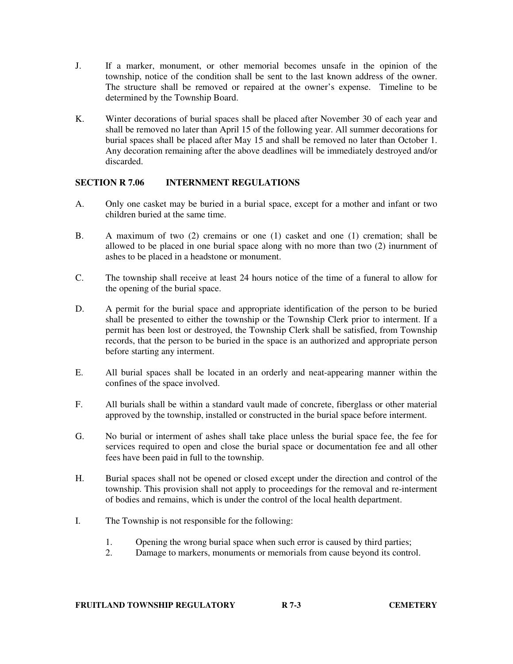- J. If a marker, monument, or other memorial becomes unsafe in the opinion of the township, notice of the condition shall be sent to the last known address of the owner. The structure shall be removed or repaired at the owner's expense. Timeline to be determined by the Township Board.
- K. Winter decorations of burial spaces shall be placed after November 30 of each year and shall be removed no later than April 15 of the following year. All summer decorations for burial spaces shall be placed after May 15 and shall be removed no later than October 1. Any decoration remaining after the above deadlines will be immediately destroyed and/or discarded.

# **SECTION R 7.06 INTERNMENT REGULATIONS**

- A. Only one casket may be buried in a burial space, except for a mother and infant or two children buried at the same time.
- B. A maximum of two (2) cremains or one (1) casket and one (1) cremation; shall be allowed to be placed in one burial space along with no more than two (2) inurnment of ashes to be placed in a headstone or monument.
- C. The township shall receive at least 24 hours notice of the time of a funeral to allow for the opening of the burial space.
- D. A permit for the burial space and appropriate identification of the person to be buried shall be presented to either the township or the Township Clerk prior to interment. If a permit has been lost or destroyed, the Township Clerk shall be satisfied, from Township records, that the person to be buried in the space is an authorized and appropriate person before starting any interment.
- E. All burial spaces shall be located in an orderly and neat-appearing manner within the confines of the space involved.
- F. All burials shall be within a standard vault made of concrete, fiberglass or other material approved by the township, installed or constructed in the burial space before interment.
- G. No burial or interment of ashes shall take place unless the burial space fee, the fee for services required to open and close the burial space or documentation fee and all other fees have been paid in full to the township.
- H. Burial spaces shall not be opened or closed except under the direction and control of the township. This provision shall not apply to proceedings for the removal and re-interment of bodies and remains, which is under the control of the local health department.
- I. The Township is not responsible for the following:
	- 1. Opening the wrong burial space when such error is caused by third parties;
	- 2. Damage to markers, monuments or memorials from cause beyond its control.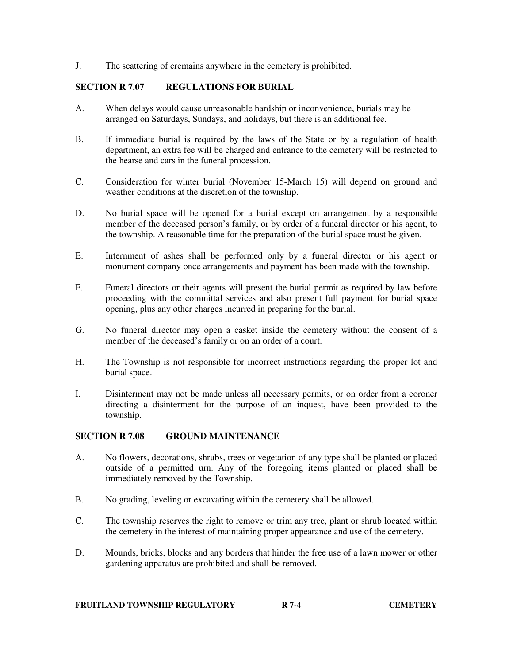J. The scattering of cremains anywhere in the cemetery is prohibited.

### **SECTION R 7.07 REGULATIONS FOR BURIAL**

- A. When delays would cause unreasonable hardship or inconvenience, burials may be arranged on Saturdays, Sundays, and holidays, but there is an additional fee.
- B. If immediate burial is required by the laws of the State or by a regulation of health department, an extra fee will be charged and entrance to the cemetery will be restricted to the hearse and cars in the funeral procession.
- C. Consideration for winter burial (November 15-March 15) will depend on ground and weather conditions at the discretion of the township.
- D. No burial space will be opened for a burial except on arrangement by a responsible member of the deceased person's family, or by order of a funeral director or his agent, to the township. A reasonable time for the preparation of the burial space must be given.
- E. Internment of ashes shall be performed only by a funeral director or his agent or monument company once arrangements and payment has been made with the township.
- F. Funeral directors or their agents will present the burial permit as required by law before proceeding with the committal services and also present full payment for burial space opening, plus any other charges incurred in preparing for the burial.
- G. No funeral director may open a casket inside the cemetery without the consent of a member of the deceased's family or on an order of a court.
- H. The Township is not responsible for incorrect instructions regarding the proper lot and burial space.
- I. Disinterment may not be made unless all necessary permits, or on order from a coroner directing a disinterment for the purpose of an inquest, have been provided to the township.

# **SECTION R 7.08 GROUND MAINTENANCE**

- A. No flowers, decorations, shrubs, trees or vegetation of any type shall be planted or placed outside of a permitted urn. Any of the foregoing items planted or placed shall be immediately removed by the Township.
- B. No grading, leveling or excavating within the cemetery shall be allowed.
- C. The township reserves the right to remove or trim any tree, plant or shrub located within the cemetery in the interest of maintaining proper appearance and use of the cemetery.
- D. Mounds, bricks, blocks and any borders that hinder the free use of a lawn mower or other gardening apparatus are prohibited and shall be removed.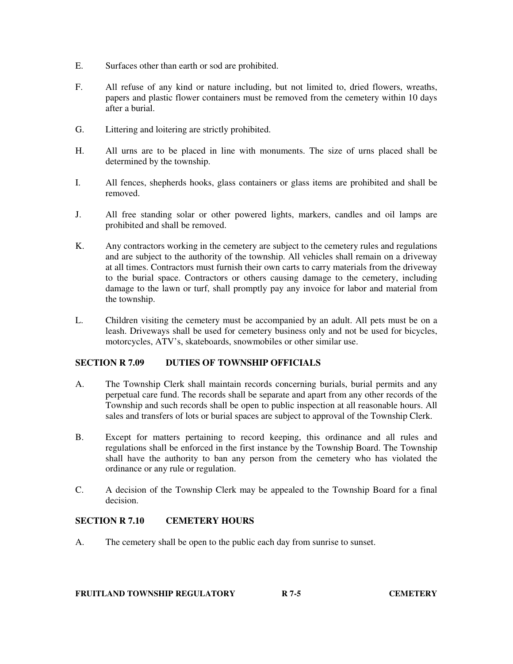- E. Surfaces other than earth or sod are prohibited.
- F. All refuse of any kind or nature including, but not limited to, dried flowers, wreaths, papers and plastic flower containers must be removed from the cemetery within 10 days after a burial.
- G. Littering and loitering are strictly prohibited.
- H. All urns are to be placed in line with monuments. The size of urns placed shall be determined by the township.
- I. All fences, shepherds hooks, glass containers or glass items are prohibited and shall be removed.
- J. All free standing solar or other powered lights, markers, candles and oil lamps are prohibited and shall be removed.
- K. Any contractors working in the cemetery are subject to the cemetery rules and regulations and are subject to the authority of the township. All vehicles shall remain on a driveway at all times. Contractors must furnish their own carts to carry materials from the driveway to the burial space. Contractors or others causing damage to the cemetery, including damage to the lawn or turf, shall promptly pay any invoice for labor and material from the township.
- L. Children visiting the cemetery must be accompanied by an adult. All pets must be on a leash. Driveways shall be used for cemetery business only and not be used for bicycles, motorcycles, ATV's, skateboards, snowmobiles or other similar use.

# **SECTION R 7.09 DUTIES OF TOWNSHIP OFFICIALS**

- A. The Township Clerk shall maintain records concerning burials, burial permits and any perpetual care fund. The records shall be separate and apart from any other records of the Township and such records shall be open to public inspection at all reasonable hours. All sales and transfers of lots or burial spaces are subject to approval of the Township Clerk.
- B. Except for matters pertaining to record keeping, this ordinance and all rules and regulations shall be enforced in the first instance by the Township Board. The Township shall have the authority to ban any person from the cemetery who has violated the ordinance or any rule or regulation.
- C. A decision of the Township Clerk may be appealed to the Township Board for a final decision.

# **SECTION R 7.10 CEMETERY HOURS**

A. The cemetery shall be open to the public each day from sunrise to sunset.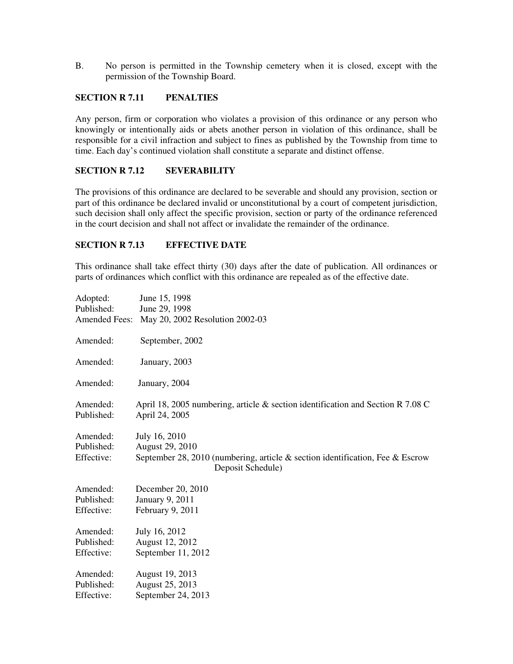B. No person is permitted in the Township cemetery when it is closed, except with the permission of the Township Board.

### **SECTION R 7.11 PENALTIES**

Any person, firm or corporation who violates a provision of this ordinance or any person who knowingly or intentionally aids or abets another person in violation of this ordinance, shall be responsible for a civil infraction and subject to fines as published by the Township from time to time. Each day's continued violation shall constitute a separate and distinct offense.

### **SECTION R 7.12 SEVERABILITY**

The provisions of this ordinance are declared to be severable and should any provision, section or part of this ordinance be declared invalid or unconstitutional by a court of competent jurisdiction, such decision shall only affect the specific provision, section or party of the ordinance referenced in the court decision and shall not affect or invalidate the remainder of the ordinance.

## **SECTION R 7.13 EFFECTIVE DATE**

This ordinance shall take effect thirty (30) days after the date of publication. All ordinances or parts of ordinances which conflict with this ordinance are repealed as of the effective date.

| Adopted:      | June 15, 1998                                                                                            |
|---------------|----------------------------------------------------------------------------------------------------------|
| Published:    | June 29, 1998                                                                                            |
| Amended Fees: | May 20, 2002 Resolution 2002-03                                                                          |
| Amended:      | September, 2002                                                                                          |
| Amended:      | January, 2003                                                                                            |
| Amended:      | January, 2004                                                                                            |
| Amended:      | April 18, 2005 numbering, article $\&$ section identification and Section R 7.08 C                       |
| Published:    | April 24, 2005                                                                                           |
| Amended:      | July 16, 2010                                                                                            |
| Published:    | August 29, 2010                                                                                          |
| Effective:    | September 28, 2010 (numbering, article $\&$ section identification, Fee $\&$ Escrow<br>Deposit Schedule) |
| Amended:      | December 20, 2010                                                                                        |
| Published:    | January 9, 2011                                                                                          |
| Effective:    | February 9, 2011                                                                                         |
| Amended:      | July 16, 2012                                                                                            |
| Published:    | August 12, 2012                                                                                          |
| Effective:    | September 11, 2012                                                                                       |
| Amended:      | August 19, 2013                                                                                          |
| Published:    | August 25, 2013                                                                                          |
| Effective:    | September 24, 2013                                                                                       |